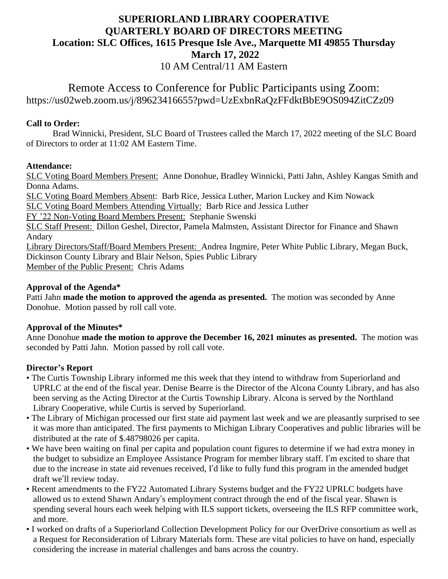# **SUPERIORLAND LIBRARY COOPERATIVE QUARTERLY BOARD OF DIRECTORS MEETING Location: SLC Offices, 1615 Presque Isle Ave., Marquette MI 49855 Thursday March 17, 2022**

10 AM Central/11 AM Eastern

# Remote Access to Conference for Public Participants using Zoom: https://us02web.zoom.us/j/89623416655?pwd=UzExbnRaQzFFdktBbE9OS094ZitCZz09

# **Call to Order:**

Brad Winnicki, President, SLC Board of Trustees called the March 17, 2022 meeting of the SLC Board of Directors to order at 11:02 AM Eastern Time.

### **Attendance:**

SLC Voting Board Members Present: Anne Donohue, Bradley Winnicki, Patti Jahn, Ashley Kangas Smith and Donna Adams.

SLC Voting Board Members Absent: Barb Rice, Jessica Luther, Marion Luckey and Kim Nowack

SLC Voting Board Members Attending Virtually: Barb Rice and Jessica Luther

FY '22 Non-Voting Board Members Present: Stephanie Swenski

SLC Staff Present: Dillon Geshel, Director, Pamela Malmsten, Assistant Director for Finance and Shawn Andary

Library Directors/Staff/Board Members Present: Andrea Ingmire, Peter White Public Library, Megan Buck, Dickinson County Library and Blair Nelson, Spies Public Library Member of the Public Present: Chris Adams

### **Approval of the Agenda\***

Patti Jahn **made the motion to approved the agenda as presented.** The motion was seconded by Anne Donohue. Motion passed by roll call vote.

# **Approval of the Minutes\***

Anne Donohue **made the motion to approve the December 16, 2021 minutes as presented.** The motion was seconded by Patti Jahn. Motion passed by roll call vote.

# **Director's Report**

- The Curtis Township Library informed me this week that they intend to withdraw from Superiorland and UPRLC at the end of the fiscal year. Denise Bearre is the Director of the Alcona County Library, and has also been serving as the Acting Director at the Curtis Township Library. Alcona is served by the Northland Library Cooperative, while Curtis is served by Superiorland.
- The Library of Michigan processed our first state aid payment last week and we are pleasantly surprised to see it was more than anticipated. The first payments to Michigan Library Cooperatives and public libraries will be distributed at the rate of \$.48798026 per capita.
- We have been waiting on final per capita and population count figures to determine if we had extra money in the budget to subsidize an Employee Assistance Program for member library staff. I'm excited to share that due to the increase in state aid revenues received, I'd like to fully fund this program in the amended budget draft we'll review today.
- Recent amendments to the FY22 Automated Library Systems budget and the FY22 UPRLC budgets have allowed us to extend Shawn Andary's employment contract through the end of the fiscal year. Shawn is spending several hours each week helping with ILS support tickets, overseeing the ILS RFP committee work, and more.
- I worked on drafts of a Superiorland Collection Development Policy for our OverDrive consortium as well as a Request for Reconsideration of Library Materials form. These are vital policies to have on hand, especially considering the increase in material challenges and bans across the country.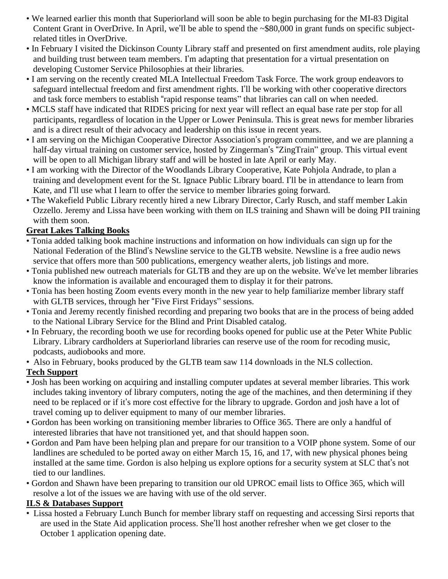- We learned earlier this month that Superiorland will soon be able to begin purchasing for the MI-83 Digital Content Grant in OverDrive. In April, we'll be able to spend the ~\$80,000 in grant funds on specific subjectrelated titles in OverDrive.
- In February I visited the Dickinson County Library staff and presented on first amendment audits, role playing and building trust between team members. I'm adapting that presentation for a virtual presentation on developing Customer Service Philosophies at their libraries.
- I am serving on the recently created MLA Intellectual Freedom Task Force. The work group endeavors to safeguard intellectual freedom and first amendment rights. I'll be working with other cooperative directors and task force members to establish "rapid response teams" that libraries can call on when needed.
- MCLS staff have indicated that RIDES pricing for next year will reflect an equal base rate per stop for all participants, regardless of location in the Upper or Lower Peninsula. This is great news for member libraries and is a direct result of their advocacy and leadership on this issue in recent years.
- I am serving on the Michigan Cooperative Director Association's program committee, and we are planning a half-day virtual training on customer service, hosted by Zingerman's "ZingTrain" group. This virtual event will be open to all Michigan library staff and will be hosted in late April or early May.
- I am working with the Director of the Woodlands Library Cooperative, Kate Pohjola Andrade, to plan a training and development event for the St. Ignace Public Library board. I'll be in attendance to learn from Kate, and I'll use what I learn to offer the service to member libraries going forward.
- The Wakefield Public Library recently hired a new Library Director, Carly Rusch, and staff member Lakin Ozzello. Jeremy and Lissa have been working with them on ILS training and Shawn will be doing PII training with them soon.

# **Great Lakes Talking Books**

- Tonia added talking book machine instructions and information on how individuals can sign up for the National Federation of the Blind's Newsline service to the GLTB website. Newsline is a free audio news service that offers more than 500 publications, emergency weather alerts, job listings and more.
- Tonia published new outreach materials for GLTB and they are up on the website. We've let member libraries know the information is available and encouraged them to display it for their patrons.
- Tonia has been hosting Zoom events every month in the new year to help familiarize member library staff with GLTB services, through her "Five First Fridays" sessions.
- Tonia and Jeremy recently finished recording and preparing two books that are in the process of being added to the National Library Service for the Blind and Print Disabled catalog.
- In February, the recording booth we use for recording books opened for public use at the Peter White Public Library. Library cardholders at Superiorland libraries can reserve use of the room for recoding music, podcasts, audiobooks and more.
- Also in February, books produced by the GLTB team saw 114 downloads in the NLS collection.

# **Tech Support**

- Josh has been working on acquiring and installing computer updates at several member libraries. This work includes taking inventory of library computers, noting the age of the machines, and then determining if they need to be replaced or if it's more cost effective for the library to upgrade. Gordon and josh have a lot of travel coming up to deliver equipment to many of our member libraries.
- Gordon has been working on transitioning member libraries to Office 365. There are only a handful of interested libraries that have not transitioned yet, and that should happen soon.
- Gordon and Pam have been helping plan and prepare for our transition to a VOIP phone system. Some of our landlines are scheduled to be ported away on either March 15, 16, and 17, with new physical phones being installed at the same time. Gordon is also helping us explore options for a security system at SLC that's not tied to our landlines.
- Gordon and Shawn have been preparing to transition our old UPROC email lists to Office 365, which will resolve a lot of the issues we are having with use of the old server.

# **ILS & Databases Support**

• Lissa hosted a February Lunch Bunch for member library staff on requesting and accessing Sirsi reports that are used in the State Aid application process. She'll host another refresher when we get closer to the October 1 application opening date.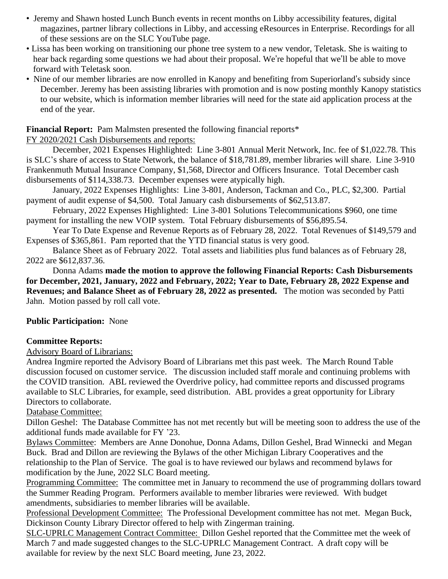- Jeremy and Shawn hosted Lunch Bunch events in recent months on Libby accessibility features, digital magazines, partner library collections in Libby, and accessing eResources in Enterprise. Recordings for all of these sessions are on the SLC YouTube page.
- Lissa has been working on transitioning our phone tree system to a new vendor, Teletask. She is waiting to hear back regarding some questions we had about their proposal. We're hopeful that we'll be able to move forward with Teletask soon.
- Nine of our member libraries are now enrolled in Kanopy and benefiting from Superiorland's subsidy since December. Jeremy has been assisting libraries with promotion and is now posting monthly Kanopy statistics to our website, which is information member libraries will need for the state aid application process at the end of the year.

#### **Financial Report:** Pam Malmsten presented the following financial reports\*

#### FY 2020/2021 Cash Disbursements and reports:

December, 2021 Expenses Highlighted: Line 3-801 Annual Merit Network, Inc. fee of \$1,022.78. This is SLC's share of access to State Network, the balance of \$18,781.89, member libraries will share. Line 3-910 Frankenmuth Mutual Insurance Company, \$1,568, Director and Officers Insurance. Total December cash disbursements of \$114,338.73. December expenses were atypically high.

January, 2022 Expenses Highlights: Line 3-801, Anderson, Tackman and Co., PLC, \$2,300. Partial payment of audit expense of \$4,500. Total January cash disbursements of \$62,513.87.

February, 2022 Expenses Highlighted: Line 3-801 Solutions Telecommunications \$960, one time payment for installing the new VOIP system. Total February disbursements of \$56,895.54.

Year To Date Expense and Revenue Reports as of February 28, 2022. Total Revenues of \$149,579 and Expenses of \$365,861. Pam reported that the YTD financial status is very good.

Balance Sheet as of February 2022. Total assets and liabilities plus fund balances as of February 28, 2022 are \$612,837.36.

Donna Adams **made the motion to approve the following Financial Reports: Cash Disbursements for December, 2021, January, 2022 and February, 2022; Year to Date, February 28, 2022 Expense and Revenues; and Balance Sheet as of February 28, 2022 as presented.** The motion was seconded by Patti Jahn. Motion passed by roll call vote.

#### **Public Participation:** None

#### **Committee Reports:**

Advisory Board of Librarians:

Andrea Ingmire reported the Advisory Board of Librarians met this past week. The March Round Table discussion focused on customer service. The discussion included staff morale and continuing problems with the COVID transition. ABL reviewed the Overdrive policy, had committee reports and discussed programs available to SLC Libraries, for example, seed distribution. ABL provides a great opportunity for Library Directors to collaborate.

#### Database Committee:

Dillon Geshel: The Database Committee has not met recently but will be meeting soon to address the use of the additional funds made available for FY '23.

Bylaws Committee: Members are Anne Donohue, Donna Adams, Dillon Geshel, Brad Winnecki and Megan Buck. Brad and Dillon are reviewing the Bylaws of the other Michigan Library Cooperatives and the relationship to the Plan of Service. The goal is to have reviewed our bylaws and recommend bylaws for modification by the June, 2022 SLC Board meeting.

Programming Committee: The committee met in January to recommend the use of programming dollars toward the Summer Reading Program. Performers available to member libraries were reviewed. With budget amendments, subsidiaries to member libraries will be available.

Professional Development Committee: The Professional Development committee has not met. Megan Buck, Dickinson County Library Director offered to help with Zingerman training.

SLC-UPRLC Management Contract Committee: Dillon Geshel reported that the Committee met the week of March 7 and made suggested changes to the SLC-UPRLC Management Contract. A draft copy will be available for review by the next SLC Board meeting, June 23, 2022.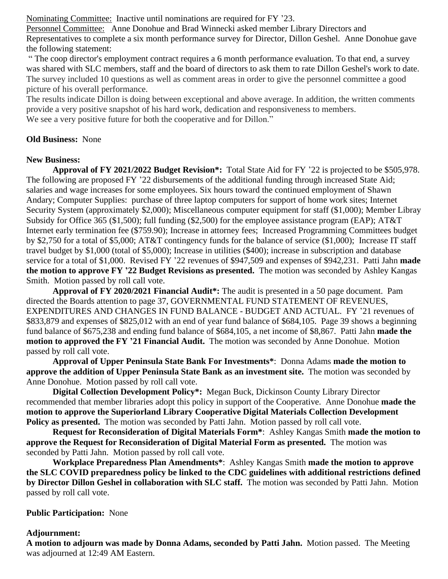Nominating Committee: Inactive until nominations are required for FY '23.

Personnel Committee: Anne Donohue and Brad Winnecki asked member Library Directors and Representatives to complete a six month performance survey for Director, Dillon Geshel. Anne Donohue gave the following statement:

" The coop director's employment contract requires a 6 month performance evaluation. To that end, a survey was shared with SLC members, staff and the board of directors to ask them to rate Dillon Geshel's work to date. The survey included 10 questions as well as comment areas in order to give the personnel committee a good picture of his overall performance.

The results indicate Dillon is doing between exceptional and above average. In addition, the written comments provide a very positive snapshot of his hard work, dedication and responsiveness to members. We see a very positive future for both the cooperative and for Dillon."

#### **Old Business:** None

#### **New Business:**

**Approval of FY 2021/2022 Budget Revision\*:** Total State Aid for FY '22 is projected to be \$505,978. The following are proposed FY '22 disbursements of the additional funding through increased State Aid; salaries and wage increases for some employees. Six hours toward the continued employment of Shawn Andary; Computer Supplies: purchase of three laptop computers for support of home work sites; Internet Security System (approximately \$2,000); Miscellaneous computer equipment for staff (\$1,000); Member Libray Subsidy for Office 365 (\$1,500); full funding (\$2,500) for the employee assistance program (EAP); AT&T Internet early termination fee (\$759.90); Increase in attorney fees; Increased Programming Committees budget by \$2,750 for a total of \$5,000; AT&T contingency funds for the balance of service (\$1,000); Increase IT staff travel budget by \$1,000 (total of \$5,000); Increase in utilities (\$400); increase in subscription and database service for a total of \$1,000. Revised FY '22 revenues of \$947,509 and expenses of \$942,231. Patti Jahn **made the motion to approve FY '22 Budget Revisions as presented.** The motion was seconded by Ashley Kangas Smith. Motion passed by roll call vote.

**Approval of FY 2020/2021 Financial Audit\*:** The audit is presented in a 50 page document. Pam directed the Boards attention to page 37, GOVERNMENTAL FUND STATEMENT OF REVENUES, EXPENDITURES AND CHANGES IN FUND BALANCE - BUDGET AND ACTUAL. FY '21 revenues of \$833,879 and expenses of \$825,012 with an end of year fund balance of \$684,105. Page 39 shows a beginning fund balance of \$675,238 and ending fund balance of \$684,105, a net income of \$8,867. Patti Jahn **made the motion to approved the FY '21 Financial Audit.** The motion was seconded by Anne Donohue. Motion passed by roll call vote.

**Approval of Upper Peninsula State Bank For Investments\***: Donna Adams **made the motion to approve the addition of Upper Peninsula State Bank as an investment site.** The motion was seconded by Anne Donohue. Motion passed by roll call vote.

**Digital Collection Development Policy\*:** Megan Buck, Dickinson County Library Director recommended that member libraries adopt this policy in support of the Cooperative. Anne Donohue **made the motion to approve the Superiorland Library Cooperative Digital Materials Collection Development Policy as presented.** The motion was seconded by Patti Jahn. Motion passed by roll call vote.

**Request for Reconsideration of Digital Materials Form\***: Ashley Kangas Smith **made the motion to approve the Request for Reconsideration of Digital Material Form as presented.** The motion was seconded by Patti Jahn. Motion passed by roll call vote.

**Workplace Preparedness Plan Amendments\***: Ashley Kangas Smith **made the motion to approve the SLC COVID preparedness policy be linked to the CDC guidelines with additional restrictions defined by Director Dillon Geshel in collaboration with SLC staff.** The motion was seconded by Patti Jahn. Motion passed by roll call vote.

#### **Public Participation:** None

#### **Adjournment:**

**A motion to adjourn was made by Donna Adams, seconded by Patti Jahn.** Motion passed. The Meeting was adjourned at 12:49 AM Eastern.